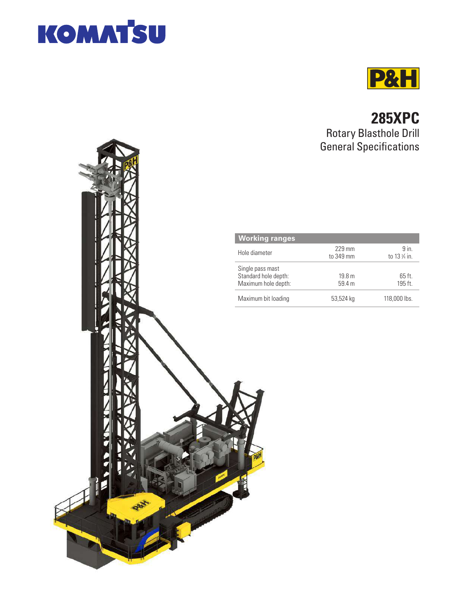



# **285XPC** Rotary Blasthole Drill General Specifications

| <b>Working ranges</b>                                           |                             |                        |
|-----------------------------------------------------------------|-----------------------------|------------------------|
| Hole diameter                                                   | 229 mm<br>to 349 mm         | $9$ in.<br>to 13 % in. |
| Single pass mast<br>Standard hole depth:<br>Maximum hole depth: | 19.8 <sub>m</sub><br>59.4 m | $65$ ft.<br>195 ft.    |
| Maximum bit loading                                             | 53,524 kg                   | 118,000 lbs.           |

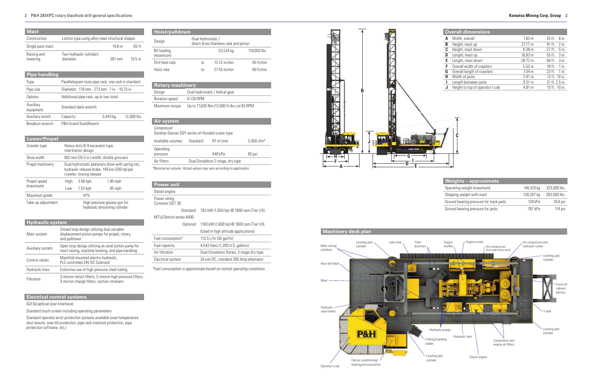#### 2 P&H 285XPC rotary blasthole drill general specifi cations **Komatsu Mining Corp. Group** 3

| Hoist/pulldown           |                    |                                        |              |
|--------------------------|--------------------|----------------------------------------|--------------|
| Design                   | Dual hydrostatic / | direct drive chainless rack and pinion |              |
| Bit loading<br>(maximum) |                    | 53,524 kg                              | 118,000 lbs. |
| Drill feed rate          | to                 | $13.72 \text{ m/min}$                  | 45 ft/min    |
| Hoist rate               | to                 | $27.43$ m/min                          | 90 ft/min    |

| <b>Rotary machinery</b> |                                            |  |
|-------------------------|--------------------------------------------|--|
| Design                  | Dual hydrostatic / helical gear            |  |
| Rotation speed          | 0-130 RPM                                  |  |
| Maximum torque          | Up to 17,626 Nm (13,000 ft-lbs.) at 65 RPM |  |

| <b>Mast</b>             |           |                                                       |                                                                                                   |             |
|-------------------------|-----------|-------------------------------------------------------|---------------------------------------------------------------------------------------------------|-------------|
| Construction            |           |                                                       | Lattice type using alloy steel structural shapes                                                  |             |
| Single pass mast        |           |                                                       | 19.8 m                                                                                            | 65 ft.      |
| Raising and<br>lowering | diameter: | Two hydraulic cylinders                               | 267 mm                                                                                            | $105$ in    |
| <b>Pipe handling</b>    |           |                                                       |                                                                                                   |             |
| Type                    |           |                                                       | Parallelogram style pipe rack, one rack is standard                                               |             |
| Pipe size               |           |                                                       | Diameter: 178 mm - 273 mm 7 in. - 10.75 in.                                                       |             |
| Options                 |           | Additional pipe rack, up to two total                 |                                                                                                   |             |
| Auxiliary<br>equipment  |           | Standard deck wrench                                  |                                                                                                   |             |
| Auxiliary winch         | Capacity: |                                                       | 5,443 kg                                                                                          | 12,000 lbs. |
| Breakout wrench         |           | P&H brand SureWrench                                  |                                                                                                   |             |
| <b>Lower/Propel</b>     |           |                                                       |                                                                                                   |             |
| Crawler type            |           | Heavy-duty B-9 excavator type,<br>intertractor design |                                                                                                   |             |
| Shoe width              |           |                                                       | 902 mm (35.5 in.) width, double grousers                                                          |             |
| Propel machinery        |           | crawler, towing release                               | Dual hydrostatic planetary drive with spring set.<br>hydraulic release brake, 149 kw (200 hp) per |             |
| Propel speed            | High:     | $3.06$ kph                                            | $1.90$ mph                                                                                        |             |
| (maximum)               | Low:      | $1.53$ kph                                            | $.95$ mph                                                                                         |             |
| Maximum grade           |           | 41%                                                   |                                                                                                   |             |
| Take-up adjustment      |           |                                                       | High pressure grease gun for<br>hydraulic tensioning cylinder                                     |             |
| . TH                    |           |                                                       |                                                                                                   |             |

## **Electrical control systems**

GUI (Graphical User Interface):

Standard touch screen including operating parameters

Standard operator error protection systems available (over-temperature shut-downs, over-tilt protection, pipe rack interlock protection, pipe protection software, etc.)

| <b>Hydraulic system</b> |                                                                                                              |  |  |
|-------------------------|--------------------------------------------------------------------------------------------------------------|--|--|
| Main system             | Closed loop design utilizing dual variable-<br>displacement piston pumps for propel, rotary,<br>and pulldown |  |  |
| Auxiliary system        | Open loop design utilizing an axial piston pump for<br>mast raising, machine leveling, and pipe handling     |  |  |
| Control valves          | Manifold mounted electro-hydraulic,<br>PLC controlled 24V DC Solenoid                                        |  |  |
| <b>Hydraulic lines</b>  | Extensive use of high pressure steel tubing                                                                  |  |  |
| Filtration              | 3-micron return filters, 5-micron high pressure filters,<br>3-micron charge filters, suction strainers       |  |  |

| <b>Power unit</b>              |           |                                                     |
|--------------------------------|-----------|-----------------------------------------------------|
| Diesel engine                  |           |                                                     |
| Power rating<br>Cummins OST 30 |           |                                                     |
|                                | Standard: | 783 kW (1,050 hp) @ 1800 rpm (Tier I/II)            |
| MTU/Detroit series 4000        |           |                                                     |
|                                |           | Optional: 1193 kW (1,600 hp) @ 1800 rpm (Tier I/II) |
|                                |           | (Used in high altitude applications)                |
| Fuel consumption*              |           | 113.5 L/hr (30 gal/hr)                              |
| Fuel capacity                  |           | 4,542 liters (1,200 U.S. gallons)                   |
| Air filtration                 |           | Dual Donaldson Series, 2-stage dry type             |
| Electrical system              |           | 24 volt DC, standard 260 Amp alternator             |

*\*Fuel consumption is approximate based on normal operating conditions.*

| Air system                                                           |           |                                  |            |
|----------------------------------------------------------------------|-----------|----------------------------------|------------|
| Compressor<br>Gardner-Denver SSY series oil-flooded screw type       |           |                                  |            |
| Available volumes                                                    | Standard: | $97 \text{ m}^3/\text{min}$      | 3,450 cfm* |
| Operating<br>pressure                                                |           | 448 kPa                          | 65 psi     |
| Air filters                                                          |           | Dual Donaldson 2-stage, dry type |            |
| *Nominal air volume. Actual values may vary according to application |           |                                  |            |

*\*Nominal air volume. Actual values may vary according to application.* **A**





|   | <b>Overall dimensions</b>       |                   |                |               |  |
|---|---------------------------------|-------------------|----------------|---------------|--|
|   | Width, overall                  | 7.83 <sub>m</sub> | 25 ft.         | 8 in.         |  |
| в | Height, mast up                 | 27.77 m           | $91$ ft.       | $2$ in.       |  |
| C | Height, mast down               | 8.38 <sub>m</sub> | $27$ ft.       | $5$ in.       |  |
| D | Length, mast up                 | 16.83 m           | 55 ft.         | 3 in.         |  |
| E | Length, mast down               | 28.72 m           | 94 ft.         | 3 in.         |  |
| F | Overall width of crawlers       | 5.52 <sub>m</sub> | $18$ ft.       | $1$ in.       |  |
| G | Overall length of crawlers      | 7.04 <sub>m</sub> | $23$ ft.       | $1$ in.       |  |
| Н | Width of jacks                  | 3.91 <sub>m</sub> |                | 12 ft. 10 in. |  |
| п | Length between jacks            | $9.51 \text{ m}$  | 31 ft. 2.5 in. |               |  |
| J | Height to top of operator's cab | 4.81 m            |                | 15 ft. 10 in. |  |

| <b>Weights-approximate</b>             |            |              |
|----------------------------------------|------------|--------------|
| Operating weight (maximum)             | 146,510 kg | 323,000 lbs. |
| Shipping weight with mast              | 128,367 kg | 283,000 lbs. |
| Ground bearing pressure for track pads | $129$ kPa  | $18.8$ psi   |
| Ground bearing pressure for jacks      | 787 kPa    | 114 psi      |

## **Machinery deck plan**